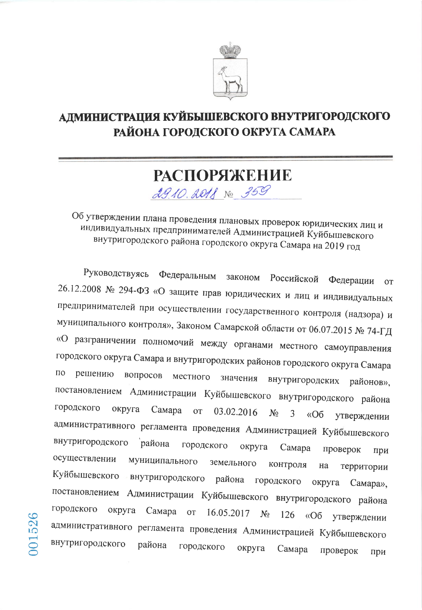

## АДМИНИСТРАЦИЯ КУЙБЫШЕВСКОГО ВНУТРИГОРОДСКОГО РАЙОНА ГОРОДСКОГО ОКРУГА САМАРА

## **РАСПОРЯЖЕНИЕ** 2910.2018 No 359

Об утверждении плана проведения плановых проверок юридических лиц и индивидуальных предпринимателей Администрацией Куйбышевского внутригородского района городского округа Самара на 2019 год

Руководствуясь Федеральным законом Российской Федерации **OT** 26.12.2008 № 294-ФЗ «О защите прав юридических и лиц и индивидуальных предпринимателей при осуществлении государственного контроля (надзора) и муниципального контроля», Законом Самарской области от 06.07.2015 № 74-ГД «О разграничении полномочий между органами местного самоуправления городского округа Самара и внутригородских районов городского округа Самара  $\Pi$ O решению вопросов местного значения внутригородских районов», постановлением Администрации Куйбышевского внутригородского района городского округа Самара 03.02.2016 **OT**  $N_2$ 3  $\triangleleft$ Oб утверждении административного регламента проведения Администрацией Куйбышевского внутригородского района городского округа Самара проверок при осуществлении муниципального земельного контроля на территории Куйбышевского внутригородского района городского округа Самара», постановлением Администрации Куйбышевского внутригородского района городского округа Самара  $16.05.2017$  No **OT** 126  $\triangleleft$ Oб утверждении административного регламента проведения Администрацией Куйбышевского внутригородского района городского округа Самара проверок при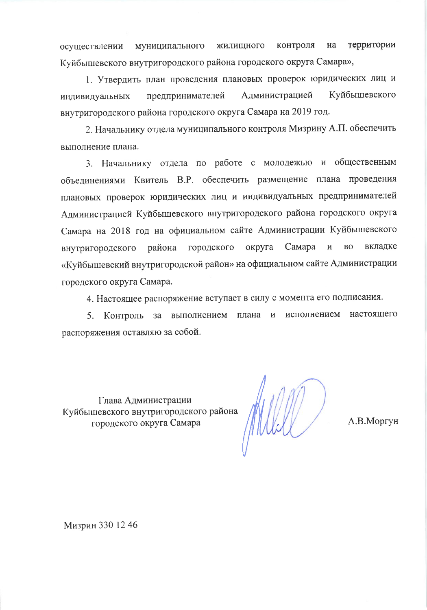территории контроля на муниципального жилищного осушествлении Куйбышевского внутригородского района городского округа Самара»,

1. Утвердить план проведения плановых проверок юридических лиц и Куйбышевского Администрацией предпринимателей индивидуальных внутригородского района городского округа Самара на 2019 год.

2. Начальнику отдела муниципального контроля Мизрину А.П. обеспечить выполнение плана.

3. Начальнику отдела по работе с молодежью и общественным объединениями Квитель В.Р. обеспечить размещение плана проведения плановых проверок юридических лиц и индивидуальных предпринимателей Администрацией Куйбышевского внутригородского района городского округа Самара на 2018 год на официальном сайте Администрации Куйбышевского района городского округа Самара  $\overline{\mathbf{M}}$ **BO** вкладке внутригородского «Куйбышевский внутригородской район» на официальном сайте Администрации городского округа Самара.

4. Настоящее распоряжение вступает в силу с момента его подписания.

исполнением настоящего 5. Контроль за выполнением плана и распоряжения оставляю за собой.

Глава Администрации Куйбышевского внутригородского района городского округа Самара

А.В.Моргун

Мизрин 330 12 46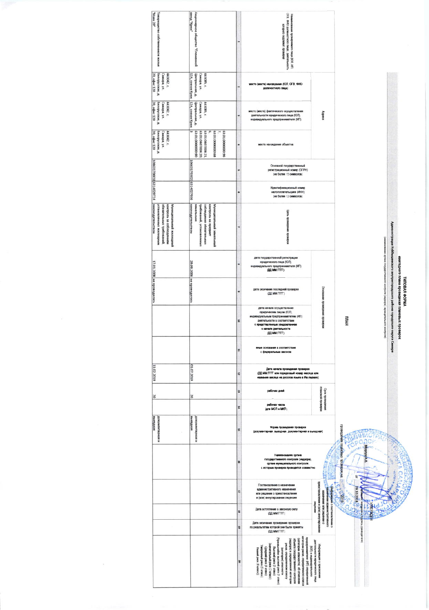| "OS xesM"<br>Товарищество собственников жилья                                                                                 | жвод <sup>ж</sup> уравет<br>Акционерное общество "Племенной                                                                                        |     | ОГВ. ФИО допиностного лица). деятельность<br>енование проверяемого лица (КОП, ИП,<br>которого подлежит проверке                                                                                                                                                                                                                                                                                                                         |                                                                                    |                                                       |                                                                                                                                                                                |
|-------------------------------------------------------------------------------------------------------------------------------|----------------------------------------------------------------------------------------------------------------------------------------------------|-----|-----------------------------------------------------------------------------------------------------------------------------------------------------------------------------------------------------------------------------------------------------------------------------------------------------------------------------------------------------------------------------------------------------------------------------------------|------------------------------------------------------------------------------------|-------------------------------------------------------|--------------------------------------------------------------------------------------------------------------------------------------------------------------------------------|
| 20, офис 120<br>Белорусская, д.<br>Самара, ул.<br>443042, r.                                                                  | Центральная, д.<br>Camapa, yn.<br>443085, r.<br>12А, совхоз Кряж                                                                                   | iú. | место (места) нахаждения (ЮЛ, ОГВ, ФИО-<br>должностного лица)                                                                                                                                                                                                                                                                                                                                                                           |                                                                                    |                                                       |                                                                                                                                                                                |
| Белорусская, д.<br>20, odwc 120<br>Самара, ул.<br>443042, r.                                                                  | 12А, совхоз Кряж<br>Camapa, yn.<br>Центральная, д.<br>443085, r.                                                                                   |     | место (места) фактического осуществления<br>деятельности юридического лица (ЮЛ).<br>индивидуального предпринимателя (ИП)                                                                                                                                                                                                                                                                                                                | Appeca                                                                             |                                                       |                                                                                                                                                                                |
| 20, офис 120<br>Белорусская, д.<br>Самара, ул.<br>443042, r.                                                                  | E<br>63:01:000000:90<br>63:01:0407004:20<br>63:01:0407004:21<br>ʻa<br>63:01:00000068<br>96:00000000069                                             |     | места нахождения объектов                                                                                                                                                                                                                                                                                                                                                                                                               |                                                                                    |                                                       |                                                                                                                                                                                |
| 108631700011 6314029724                                                                                                       | 1066317030236314027036                                                                                                                             | w   | Основной государственный<br>регистрационный номер (ОГРН)<br>(не более 15 символов)                                                                                                                                                                                                                                                                                                                                                      |                                                                                    |                                                       |                                                                                                                                                                                |
|                                                                                                                               |                                                                                                                                                    | ۰   | Идентификвционный номер<br>налогоплательщика (ИНН)<br>(не более 12 символов)                                                                                                                                                                                                                                                                                                                                                            |                                                                                    |                                                       |                                                                                                                                                                                |
| законодательством<br>обязательных требований<br>установленных жилищиным<br>контроль за соблюдением<br>Муниципальный жилищимий | законодательством<br>требований, установленных<br>соблюдения обязательных<br>Муниципальный земельный<br><b>SCMC/IbHbini</b><br>контроль на предмет |     | Lera nposeness<br>upostessis                                                                                                                                                                                                                                                                                                                                                                                                            |                                                                                    |                                                       |                                                                                                                                                                                |
|                                                                                                                               |                                                                                                                                                    |     | дата государственной регистрации<br>юридического лица (ЮП).<br>индивидуального предпринимателя (ИП)<br><b>GULMMITTT</b> )                                                                                                                                                                                                                                                                                                               |                                                                                    |                                                       |                                                                                                                                                                                |
| 17.01.2008 не проводилась                                                                                                     | 29.09.2006 не проводилась                                                                                                                          | ü   | дата окончания последней проверки<br>(DO MM FFFF)                                                                                                                                                                                                                                                                                                                                                                                       | Основание проведения прове<br>ğ                                                    | ежегодного плана проведения плановых                  | <b>FINTOBAS OPMA</b>                                                                                                                                                           |
|                                                                                                                               |                                                                                                                                                    | a   | дата начала осуществления<br>коридическим лицом (ЮЛ).<br>индивидуальным предпринимателем (ИП)<br>деятельности в соответствии<br>с представление<br>н уведомлени<br>о ничиле деятельности<br>(DOLMM ITTT)                                                                                                                                                                                                                                |                                                                                    | HWULL                                                 | Администрация Куйбициевского виутритородского района городского округа Самара<br>наминиование органа государственного контроля (надвора), муниципального контроля)<br>npoapook |
|                                                                                                                               |                                                                                                                                                    | Ħ   | FRAME OCHOBINISM & COOTBETCTSHIK<br>с федеральным законом                                                                                                                                                                                                                                                                                                                                                                               |                                                                                    |                                                       |                                                                                                                                                                                |
| 11.02.2019                                                                                                                    | 01.07.2019                                                                                                                                         | E,  | Дета нечала проведения проверки<br>(ДД ММ ГГГТ или порядковый номер месяце или<br>название вислуа на руссков языке в Ив. педевте)                                                                                                                                                                                                                                                                                                       |                                                                                    |                                                       |                                                                                                                                                                                |
| <b>SO</b>                                                                                                                     | <b>b</b>                                                                                                                                           | u   | ребочки дней                                                                                                                                                                                                                                                                                                                                                                                                                            | плановой проверхи<br>Срок проведения                                               |                                                       |                                                                                                                                                                                |
|                                                                                                                               |                                                                                                                                                    | ×   | рабочих часов<br>(are MCFI a MRTI)                                                                                                                                                                                                                                                                                                                                                                                                      |                                                                                    |                                                       |                                                                                                                                                                                |
| выездная<br>и венавизимой                                                                                                     | венизуная<br>документарная и                                                                                                                       | ×   | Форев проведения проверки<br>(документарная, выездная, документарная и выездная)                                                                                                                                                                                                                                                                                                                                                        |                                                                                    |                                                       |                                                                                                                                                                                |
|                                                                                                                               |                                                                                                                                                    | ×   | Неппенование органа<br>государственного контроля (недасре),<br>органе влучащилального контроля.<br>с воторым проверка проводятся соважетно                                                                                                                                                                                                                                                                                              |                                                                                    | проведения плановых пров<br>BH XOOD<br>$\overline{a}$ |                                                                                                                                                                                |
|                                                                                                                               |                                                                                                                                                    | 4   | Постановление о назначении<br>административного назначения<br>или решении о приостановлении<br>и (или) аннулировании лицензии                                                                                                                                                                                                                                                                                                           | приостановлении и (или) аннулирова                                                 | 29.10.2018                                            |                                                                                                                                                                                |
|                                                                                                                               |                                                                                                                                                    | ä   | Дета вступления в законную силу<br>(ДД MM FFFF)                                                                                                                                                                                                                                                                                                                                                                                         | снив или решению о<br>охивителестративного<br>низнатия<br>O DOCTRHOBONHINH O       |                                                       |                                                                                                                                                                                |
|                                                                                                                               |                                                                                                                                                    | ű   | Дата окончания проведения проверки.<br>по результатам которой они были приняты<br>(DD MM FFFF)                                                                                                                                                                                                                                                                                                                                          |                                                                                    | š<br>руководителя)                                    |                                                                                                                                                                                |
|                                                                                                                               |                                                                                                                                                    | g   | предпринимателя (FIT) определенной<br>бъекта государственного контроля<br>вгории риска, определенного класса<br>этегории опасности), об отнесении<br>цаора) к определенной категории<br>нска определенном классу<br>Cpegnanii pieck (4 kriacc)<br>Bucoanii pieck (2 knacc)<br>(категории) опасности<br><b>Інакий</b> риск (6 класс))<br>entertained pieca (3 knotc)<br>epenentel pack (5 knacc)<br>univer stuccessing piecs (1 stratec) | деятельности кридического лица<br>Информация о присвоении<br>ОД) и медиамдуального |                                                       |                                                                                                                                                                                |

 $\sigma_{\rm{max}}$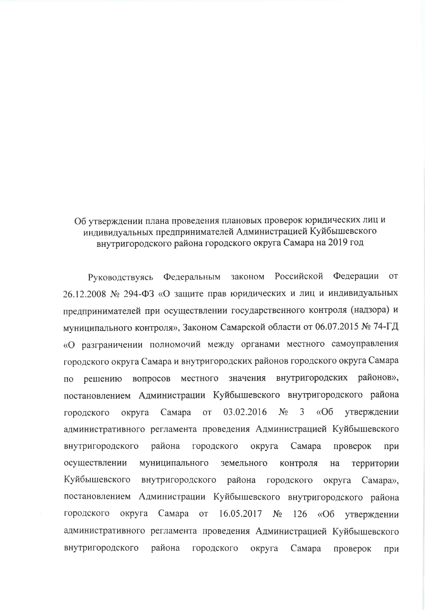## Об утверждении плана проведения плановых проверок юридических лиц и индивидуальных предпринимателей Администрацией Куйбышевского внутригородского района городского округа Самара на 2019 год

Российской Федерации Федеральным законом **OT** Руководствуясь 26.12.2008 № 294-ФЗ «О защите прав юридических и лиц и индивидуальных предпринимателей при осуществлении государственного контроля (надзора) и муниципального контроля», Законом Самарской области от 06.07.2015 № 74-ГД «О разграничении полномочий между органами местного самоуправления городского округа Самара и внутригородских районов городского округа Самара внутригородских районов», значения вопросов местного решению  $\Pi$ O постановлением Администрации Куйбышевского внутригородского района 3 03.02.2016  $N_2$  $\triangleleft$ Oб утверждении округа Самара **OT** городского административного регламента проведения Администрацией Куйбышевского внутригородского района городского округа Самара проверок при осуществлении муниципального земельного контроля территории на Куйбышевского внутригородского района городского округа Самара», Администрации Куйбышевского внутригородского района постановлением городского округа Самара от 16.05.2017  $N_2$ 126  $\langle \langle$ O<sub>6</sub> утверждении административного регламента проведения Администрацией Куйбышевского внутригородского района городского округа Самара проверок при